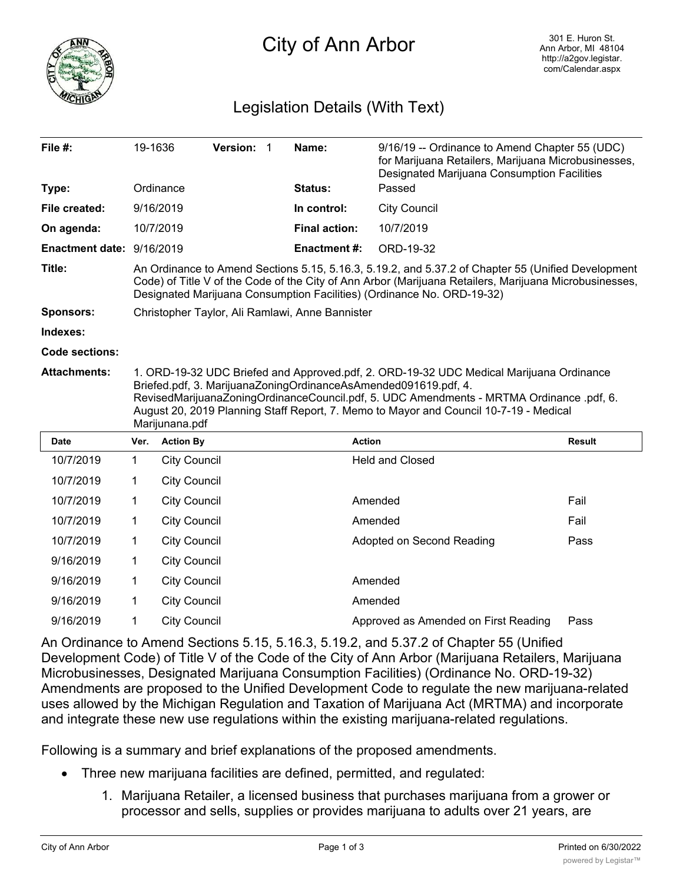

## City of Ann Arbor

## Legislation Details (With Text)

| File #:                   | 19-1636                                                                                                                                                                                                                                                                                                                                                           |                     | Version: | $\mathbf 1$ | Name:                | 9/16/19 -- Ordinance to Amend Chapter 55 (UDC)<br>for Marijuana Retailers, Marijuana Microbusinesses,<br>Designated Marijuana Consumption Facilities |               |  |
|---------------------------|-------------------------------------------------------------------------------------------------------------------------------------------------------------------------------------------------------------------------------------------------------------------------------------------------------------------------------------------------------------------|---------------------|----------|-------------|----------------------|------------------------------------------------------------------------------------------------------------------------------------------------------|---------------|--|
| Type:                     | Ordinance<br>9/16/2019                                                                                                                                                                                                                                                                                                                                            |                     |          |             | <b>Status:</b>       | Passed<br><b>City Council</b>                                                                                                                        |               |  |
| File created:             |                                                                                                                                                                                                                                                                                                                                                                   |                     |          |             | In control:          |                                                                                                                                                      |               |  |
| On agenda:                | 10/7/2019                                                                                                                                                                                                                                                                                                                                                         |                     |          |             | <b>Final action:</b> | 10/7/2019                                                                                                                                            |               |  |
| Enactment date: 9/16/2019 |                                                                                                                                                                                                                                                                                                                                                                   |                     |          |             | <b>Enactment#:</b>   | ORD-19-32                                                                                                                                            |               |  |
| Title:                    | An Ordinance to Amend Sections 5.15, 5.16.3, 5.19.2, and 5.37.2 of Chapter 55 (Unified Development<br>Code) of Title V of the Code of the City of Ann Arbor (Marijuana Retailers, Marijuana Microbusinesses,<br>Designated Marijuana Consumption Facilities) (Ordinance No. ORD-19-32)                                                                            |                     |          |             |                      |                                                                                                                                                      |               |  |
| <b>Sponsors:</b>          | Christopher Taylor, Ali Ramlawi, Anne Bannister                                                                                                                                                                                                                                                                                                                   |                     |          |             |                      |                                                                                                                                                      |               |  |
| Indexes:                  |                                                                                                                                                                                                                                                                                                                                                                   |                     |          |             |                      |                                                                                                                                                      |               |  |
| Code sections:            |                                                                                                                                                                                                                                                                                                                                                                   |                     |          |             |                      |                                                                                                                                                      |               |  |
| <b>Attachments:</b>       | 1. ORD-19-32 UDC Briefed and Approved.pdf, 2. ORD-19-32 UDC Medical Marijuana Ordinance<br>Briefed.pdf, 3. MarijuanaZoningOrdinanceAsAmended091619.pdf, 4.<br>RevisedMarijuanaZoningOrdinanceCouncil.pdf, 5. UDC Amendments - MRTMA Ordinance .pdf, 6.<br>August 20, 2019 Planning Staff Report, 7. Memo to Mayor and Council 10-7-19 - Medical<br>Marijunana.pdf |                     |          |             |                      |                                                                                                                                                      |               |  |
| Date                      | Ver.                                                                                                                                                                                                                                                                                                                                                              | <b>Action By</b>    |          |             |                      | <b>Action</b>                                                                                                                                        | <b>Result</b> |  |
| 10/7/2019                 | $\mathbf 1$                                                                                                                                                                                                                                                                                                                                                       | <b>City Council</b> |          |             |                      | <b>Held and Closed</b>                                                                                                                               |               |  |
| 10/7/2019                 | 1                                                                                                                                                                                                                                                                                                                                                                 | <b>City Council</b> |          |             |                      |                                                                                                                                                      |               |  |
| 10/7/2019                 | 1                                                                                                                                                                                                                                                                                                                                                                 | <b>City Council</b> |          |             | Amended              | Fail                                                                                                                                                 |               |  |
| 10/7/2019                 | 1                                                                                                                                                                                                                                                                                                                                                                 | <b>City Council</b> |          |             | Amended              | Fail                                                                                                                                                 |               |  |
| 10/7/2019                 | 1                                                                                                                                                                                                                                                                                                                                                                 | <b>City Council</b> |          |             |                      | Adopted on Second Reading                                                                                                                            | Pass          |  |
| 9/16/2019                 | 1                                                                                                                                                                                                                                                                                                                                                                 | <b>City Council</b> |          |             |                      |                                                                                                                                                      |               |  |
| 9/16/2019                 | 1                                                                                                                                                                                                                                                                                                                                                                 | <b>City Council</b> |          |             |                      | Amended                                                                                                                                              |               |  |
| 9/16/2019                 | 1                                                                                                                                                                                                                                                                                                                                                                 | <b>City Council</b> |          |             |                      | Amended                                                                                                                                              |               |  |
| 9/16/2019                 | 1                                                                                                                                                                                                                                                                                                                                                                 | <b>City Council</b> |          |             |                      | Approved as Amended on First Reading                                                                                                                 | Pass          |  |

An Ordinance to Amend Sections 5.15, 5.16.3, 5.19.2, and 5.37.2 of Chapter 55 (Unified Development Code) of Title V of the Code of the City of Ann Arbor (Marijuana Retailers, Marijuana Microbusinesses, Designated Marijuana Consumption Facilities) (Ordinance No. ORD-19-32) Amendments are proposed to the Unified Development Code to regulate the new marijuana-related uses allowed by the Michigan Regulation and Taxation of Marijuana Act (MRTMA) and incorporate and integrate these new use regulations within the existing marijuana-related regulations.

Following is a summary and brief explanations of the proposed amendments.

- · Three new marijuana facilities are defined, permitted, and regulated:
	- 1. Marijuana Retailer, a licensed business that purchases marijuana from a grower or processor and sells, supplies or provides marijuana to adults over 21 years, are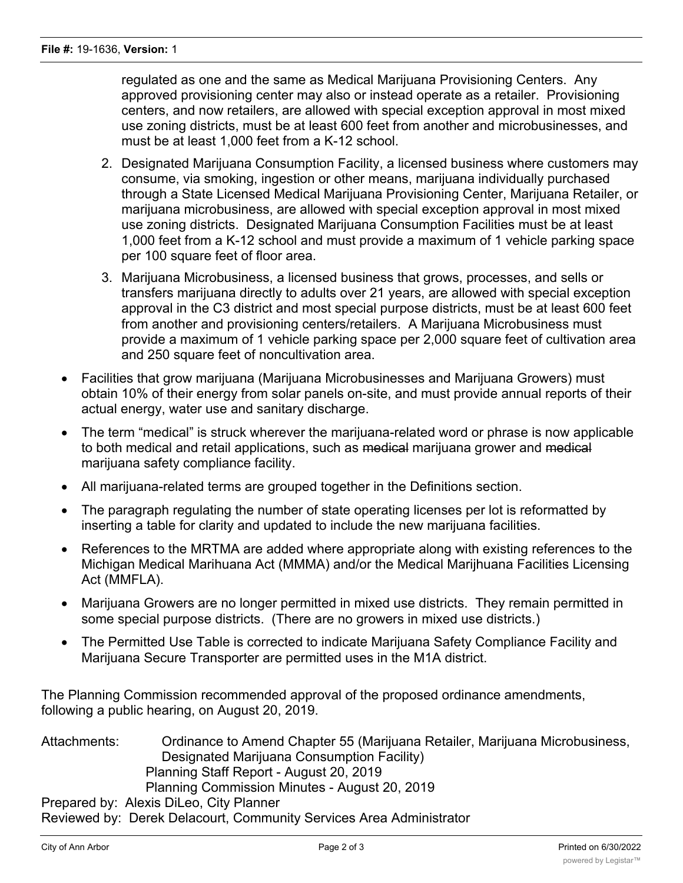regulated as one and the same as Medical Marijuana Provisioning Centers. Any approved provisioning center may also or instead operate as a retailer. Provisioning centers, and now retailers, are allowed with special exception approval in most mixed use zoning districts, must be at least 600 feet from another and microbusinesses, and must be at least 1,000 feet from a K-12 school.

- 2. Designated Marijuana Consumption Facility, a licensed business where customers may consume, via smoking, ingestion or other means, marijuana individually purchased through a State Licensed Medical Marijuana Provisioning Center, Marijuana Retailer, or marijuana microbusiness, are allowed with special exception approval in most mixed use zoning districts. Designated Marijuana Consumption Facilities must be at least 1,000 feet from a K-12 school and must provide a maximum of 1 vehicle parking space per 100 square feet of floor area.
- 3. Marijuana Microbusiness, a licensed business that grows, processes, and sells or transfers marijuana directly to adults over 21 years, are allowed with special exception approval in the C3 district and most special purpose districts, must be at least 600 feet from another and provisioning centers/retailers. A Marijuana Microbusiness must provide a maximum of 1 vehicle parking space per 2,000 square feet of cultivation area and 250 square feet of noncultivation area.
- · Facilities that grow marijuana (Marijuana Microbusinesses and Marijuana Growers) must obtain 10% of their energy from solar panels on-site, and must provide annual reports of their actual energy, water use and sanitary discharge.
- The term "medical" is struck wherever the marijuana-related word or phrase is now applicable to both medical and retail applications, such as medical marijuana grower and medical marijuana safety compliance facility.
- · All marijuana-related terms are grouped together in the Definitions section.
- The paragraph regulating the number of state operating licenses per lot is reformatted by inserting a table for clarity and updated to include the new marijuana facilities.
- · References to the MRTMA are added where appropriate along with existing references to the Michigan Medical Marihuana Act (MMMA) and/or the Medical Marijhuana Facilities Licensing Act (MMFLA).
- · Marijuana Growers are no longer permitted in mixed use districts. They remain permitted in some special purpose districts. (There are no growers in mixed use districts.)
- · The Permitted Use Table is corrected to indicate Marijuana Safety Compliance Facility and Marijuana Secure Transporter are permitted uses in the M1A district.

The Planning Commission recommended approval of the proposed ordinance amendments, following a public hearing, on August 20, 2019.

Attachments: Ordinance to Amend Chapter 55 (Marijuana Retailer, Marijuana Microbusiness, Designated Marijuana Consumption Facility) Planning Staff Report - August 20, 2019 Planning Commission Minutes - August 20, 2019 Prepared by: Alexis DiLeo, City Planner

Reviewed by: Derek Delacourt, Community Services Area Administrator